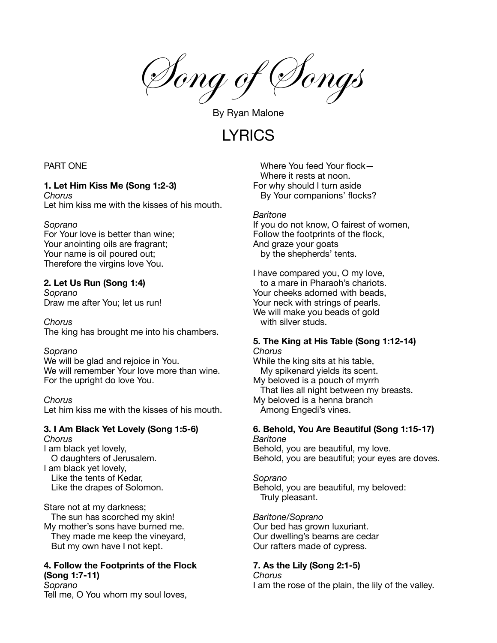Song of Songs

By Ryan Malone

**LYRICS** 

## PART ONE

#### **1. Let Him Kiss Me (Song 1:2-3)** *Chorus*

Let him kiss me with the kisses of his mouth.

### *Soprano*

For Your love is better than wine; Your anointing oils are fragrant; Your name is oil poured out; Therefore the virgins love You.

## **2. Let Us Run (Song 1:4)**

*Soprano* Draw me after You; let us run!

*Chorus*

The king has brought me into his chambers.

### *Soprano*

We will be glad and rejoice in You. We will remember Your love more than wine. For the upright do love You.

### *Chorus*

Let him kiss me with the kisses of his mouth.

#### **3. I Am Black Yet Lovely (Song 1:5-6)** *Chorus*

I am black yet lovely, O daughters of Jerusalem. I am black yet lovely, Like the tents of Kedar, Like the drapes of Solomon.

Stare not at my darkness; The sun has scorched my skin! My mother's sons have burned me. They made me keep the vineyard, But my own have I not kept.

# **4. Follow the Footprints of the Flock (Song 1:7-11)** *Soprano*

Tell me, O You whom my soul loves,

Where You feed Your flock— Where it rests at noon. For why should I turn aside By Your companions' flocks?

### *Baritone*

If you do not know, O fairest of women, Follow the footprints of the flock, And graze your goats by the shepherds' tents.

I have compared you, O my love, to a mare in Pharaoh's chariots. Your cheeks adorned with beads, Your neck with strings of pearls. We will make you beads of gold with silver studs.

#### **5. The King at His Table (Song 1:12-14)** *Chorus*

While the king sits at his table, My spikenard yields its scent. My beloved is a pouch of myrrh That lies all night between my breasts. My beloved is a henna branch Among Engedi's vines.

# **6. Behold, You Are Beautiful (Song 1:15-17)** *Baritone*

Behold, you are beautiful, my love. Behold, you are beautiful; your eyes are doves.

### *Soprano*

Behold, you are beautiful, my beloved: Truly pleasant.

*Baritone/Soprano*

Our bed has grown luxuriant. Our dwelling's beams are cedar Our rafters made of cypress.

# **7. As the Lily (Song 2:1-5)**

*Chorus* I am the rose of the plain, the lily of the valley.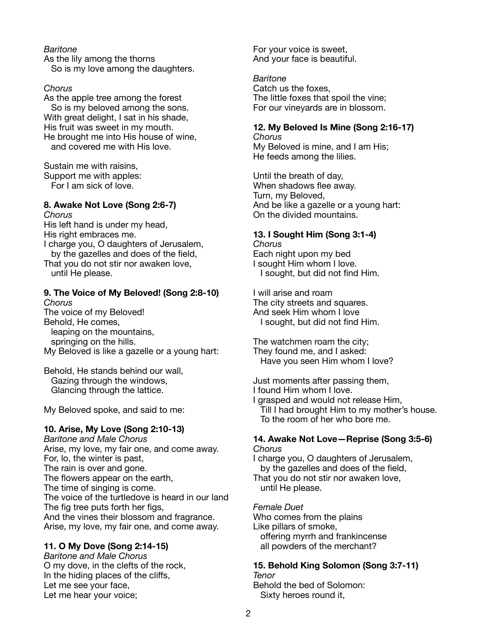## *Baritone*

As the lily among the thorns So is my love among the daughters.

### *Chorus*

As the apple tree among the forest So is my beloved among the sons. With great delight, I sat in his shade, His fruit was sweet in my mouth. He brought me into His house of wine, and covered me with His love.

Sustain me with raisins, Support me with apples: For I am sick of love.

# **8. Awake Not Love (Song 2:6-7)**

*Chorus* His left hand is under my head, His right embraces me. I charge you, O daughters of Jerusalem, by the gazelles and does of the field, That you do not stir nor awaken love, until He please.

## **9. The Voice of My Beloved! (Song 2:8-10)** *Chorus*

The voice of my Beloved! Behold, He comes, leaping on the mountains, springing on the hills. My Beloved is like a gazelle or a young hart:

Behold, He stands behind our wall, Gazing through the windows, Glancing through the lattice.

My Beloved spoke, and said to me:

# **10. Arise, My Love (Song 2:10-13)**

*Baritone and Male Chorus* Arise, my love, my fair one, and come away. For, lo, the winter is past, The rain is over and gone. The flowers appear on the earth, The time of singing is come. The voice of the turtledove is heard in our land The fig tree puts forth her figs, And the vines their blossom and fragrance. Arise, my love, my fair one, and come away.

# **11. O My Dove (Song 2:14-15)**

*Baritone and Male Chorus* O my dove, in the clefts of the rock, In the hiding places of the cliffs, Let me see your face, Let me hear your voice;

For your voice is sweet, And your face is beautiful.

*Baritone* Catch us the foxes, The little foxes that spoil the vine; For our vineyards are in blossom.

# **12. My Beloved Is Mine (Song 2:16-17)**

*Chorus* My Beloved is mine, and I am His; He feeds among the lilies.

Until the breath of day, When shadows flee away. Turn, my Beloved, And be like a gazelle or a young hart: On the divided mountains.

# **13. I Sought Him (Song 3:1-4)**

*Chorus* Each night upon my bed I sought Him whom I love. I sought, but did not find Him.

I will arise and roam The city streets and squares. And seek Him whom I love I sought, but did not find Him.

The watchmen roam the city; They found me, and I asked: Have you seen Him whom I love?

Just moments after passing them, I found Him whom I love.

I grasped and would not release Him, Till I had brought Him to my mother's house. To the room of her who bore me.

#### **14. Awake Not Love—Reprise (Song 3:5-6)** *Chorus*

I charge you, O daughters of Jerusalem, by the gazelles and does of the field, That you do not stir nor awaken love, until He please.

*Female Duet* Who comes from the plains Like pillars of smoke, offering myrrh and frankincense all powders of the merchant?

Sixty heroes round it,

**15. Behold King Solomon (Song 3:7-11)** *Tenor* Behold the bed of Solomon:

2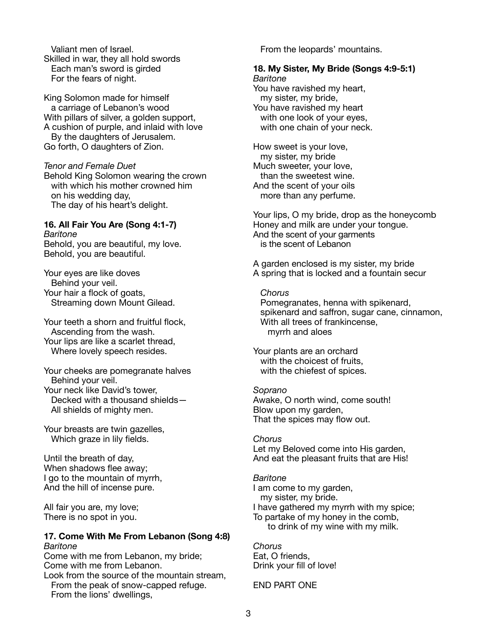Valiant men of Israel. Skilled in war, they all hold swords Each man's sword is girded For the fears of night.

King Solomon made for himself a carriage of Lebanon's wood With pillars of silver, a golden support, A cushion of purple, and inlaid with love By the daughters of Jerusalem. Go forth, O daughters of Zion.

*Tenor and Female Duet*

Behold King Solomon wearing the crown with which his mother crowned him on his wedding day, The day of his heart's delight.

# **16. All Fair You Are (Song 4:1-7)**

*Baritone* Behold, you are beautiful, my love. Behold, you are beautiful.

Your eyes are like doves Behind your veil. Your hair a flock of goats, Streaming down Mount Gilead.

Your teeth a shorn and fruitful flock, Ascending from the wash. Your lips are like a scarlet thread, Where lovely speech resides.

Your cheeks are pomegranate halves Behind your veil. Your neck like David's tower, Decked with a thousand shields— All shields of mighty men.

Your breasts are twin gazelles, Which graze in lily fields.

Until the breath of day, When shadows flee away; I go to the mountain of myrrh, And the hill of incense pure.

All fair you are, my love; There is no spot in you.

### **17. Come With Me From Lebanon (Song 4:8)** *Baritone*

Come with me from Lebanon, my bride; Come with me from Lebanon.

Look from the source of the mountain stream, From the peak of snow-capped refuge. From the lions' dwellings,

From the leopards' mountains.

#### **18. My Sister, My Bride (Songs 4:9-5:1)** *Baritone*

You have ravished my heart, my sister, my bride, You have ravished my heart with one look of your eyes, with one chain of your neck.

How sweet is your love, my sister, my bride Much sweeter, your love, than the sweetest wine. And the scent of your oils more than any perfume.

Your lips, O my bride, drop as the honeycomb Honey and milk are under your tongue. And the scent of your garments is the scent of Lebanon

A garden enclosed is my sister, my bride A spring that is locked and a fountain secur

# *Chorus*

Pomegranates, henna with spikenard, spikenard and saffron, sugar cane, cinnamon, With all trees of frankincense, myrrh and aloes

Your plants are an orchard with the choicest of fruits, with the chiefest of spices.

### *Soprano*

Awake, O north wind, come south! Blow upon my garden, That the spices may flow out.

# *Chorus*

Let my Beloved come into His garden, And eat the pleasant fruits that are His!

# *Baritone*

I am come to my garden, my sister, my bride. I have gathered my myrrh with my spice; To partake of my honey in the comb, to drink of my wine with my milk.

# *Chorus*

Eat, O friends, Drink your fill of love!

END PART ONE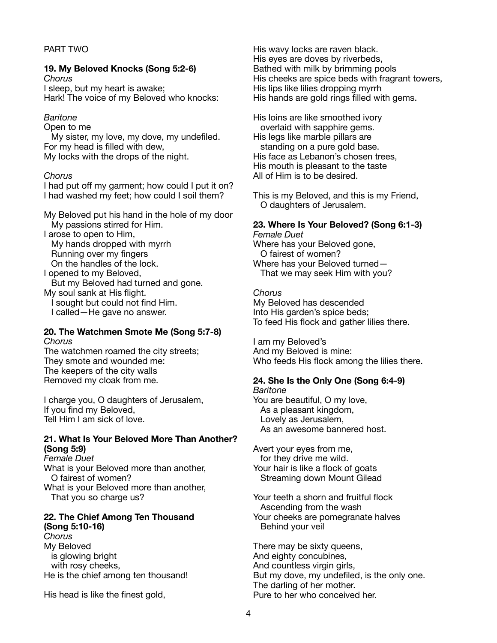# PART TWO

#### **19. My Beloved Knocks (Song 5:2-6)** *Chorus*

I sleep, but my heart is awake; Hark! The voice of my Beloved who knocks:

#### *Baritone*

Open to me

My sister, my love, my dove, my undefiled. For my head is filled with dew, My locks with the drops of the night.

### *Chorus*

I had put off my garment; how could I put it on? I had washed my feet; how could I soil them?

My Beloved put his hand in the hole of my door My passions stirred for Him.

I arose to open to Him,

My hands dropped with myrrh Running over my fingers On the handles of the lock.

I opened to my Beloved, But my Beloved had turned and gone. My soul sank at His flight.

I sought but could not find Him. I called—He gave no answer.

#### **20. The Watchmen Smote Me (Song 5:7-8)** *Chorus*

The watchmen roamed the city streets; They smote and wounded me: The keepers of the city walls Removed my cloak from me.

I charge you, O daughters of Jerusalem, If you find my Beloved, Tell Him I am sick of love.

## **21. What Is Your Beloved More Than Another? (Song 5:9)**

*Female Duet* What is your Beloved more than another, O fairest of women? What is your Beloved more than another, That you so charge us?

## **22. The Chief Among Ten Thousand (Song 5:10-16)**

*Chorus* My Beloved is glowing bright with rosy cheeks, He is the chief among ten thousand!

His head is like the finest gold,

His wavy locks are raven black. His eyes are doves by riverbeds, Bathed with milk by brimming pools His cheeks are spice beds with fragrant towers, His lips like lilies dropping myrrh His hands are gold rings filled with gems.

His loins are like smoothed ivory overlaid with sapphire gems. His legs like marble pillars are standing on a pure gold base. His face as Lebanon's chosen trees, His mouth is pleasant to the taste All of Him is to be desired.

This is my Beloved, and this is my Friend, O daughters of Jerusalem.

## **23. Where Is Your Beloved? (Song 6:1-3)**

*Female Duet* Where has your Beloved gone, O fairest of women? Where has your Beloved turned— That we may seek Him with you?

*Chorus* My Beloved has descended Into His garden's spice beds; To feed His flock and gather lilies there.

I am my Beloved's And my Beloved is mine: Who feeds His flock among the lilies there.

# **24. She Is the Only One (Song 6:4-9)**

*Baritone* You are beautiful, O my love, As a pleasant kingdom, Lovely as Jerusalem, As an awesome bannered host.

Avert your eyes from me, for they drive me wild. Your hair is like a flock of goats Streaming down Mount Gilead

Your teeth a shorn and fruitful flock Ascending from the wash Your cheeks are pomegranate halves Behind your veil

There may be sixty queens, And eighty concubines, And countless virgin girls, But my dove, my undefiled, is the only one. The darling of her mother. Pure to her who conceived her.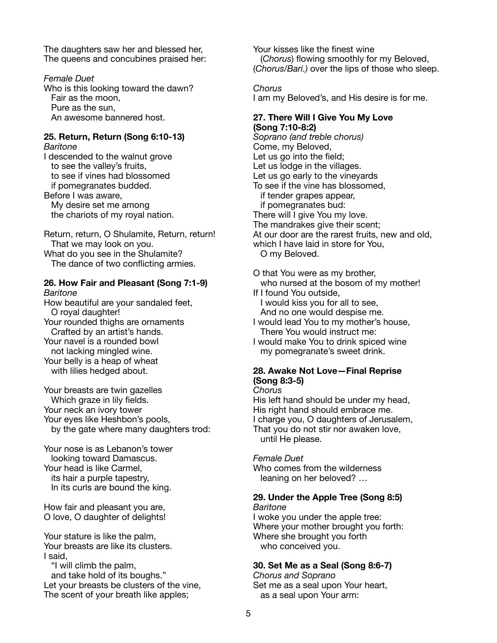The daughters saw her and blessed her, The queens and concubines praised her:

*Female Duet* Who is this looking toward the dawn? Fair as the moon, Pure as the sun, An awesome bannered host.

# **25. Return, Return (Song 6:10-13)**

*Baritone* I descended to the walnut grove to see the valley's fruits, to see if vines had blossomed if pomegranates budded. Before I was aware, My desire set me among the chariots of my royal nation.

Return, return, O Shulamite, Return, return! That we may look on you. What do you see in the Shulamite?

The dance of two conflicting armies.

#### **26. How Fair and Pleasant (Song 7:1-9)** *Baritone*

How beautiful are your sandaled feet, O royal daughter! Your rounded thighs are ornaments Crafted by an artist's hands. Your navel is a rounded bowl not lacking mingled wine. Your belly is a heap of wheat with lilies hedged about.

Your breasts are twin gazelles Which graze in lily fields. Your neck an ivory tower Your eyes like Heshbon's pools, by the gate where many daughters trod:

Your nose is as Lebanon's tower looking toward Damascus. Your head is like Carmel, its hair a purple tapestry, In its curls are bound the king.

How fair and pleasant you are, O love, O daughter of delights!

Your stature is like the palm, Your breasts are like its clusters. I said,

"I will climb the palm, and take hold of its boughs." Let your breasts be clusters of the vine, The scent of your breath like apples;

Your kisses like the finest wine (*Chorus*) flowing smoothly for my Beloved, (*Chorus/Bari.)* over the lips of those who sleep.

*Chorus*

I am my Beloved's, and His desire is for me.

#### **27. There Will I Give You My Love (Song 7:10-8:2)**

*Soprano (and treble chorus)* Come, my Beloved, Let us go into the field; Let us lodge in the villages. Let us go early to the vineyards To see if the vine has blossomed, if tender grapes appear, if pomegranates bud: There will I give You my love. The mandrakes give their scent; At our door are the rarest fruits, new and old, which I have laid in store for You, O my Beloved.

O that You were as my brother,

who nursed at the bosom of my mother! If I found You outside,

I would kiss you for all to see, And no one would despise me.

I would lead You to my mother's house, There You would instruct me:

I would make You to drink spiced wine my pomegranate's sweet drink.

### **28. Awake Not Love—Final Reprise (Song 8:3-5)**

*Chorus* His left hand should be under my head, His right hand should embrace me. I charge you, O daughters of Jerusalem, That you do not stir nor awaken love,

until He please.

### *Female Duet*

Who comes from the wilderness leaning on her beloved? …

### **29. Under the Apple Tree (Song 8:5)** *Baritone*

I woke you under the apple tree: Where your mother brought you forth: Where she brought you forth who conceived you.

# **30. Set Me as a Seal (Song 8:6-7)**

*Chorus and Soprano* Set me as a seal upon Your heart, as a seal upon Your arm: